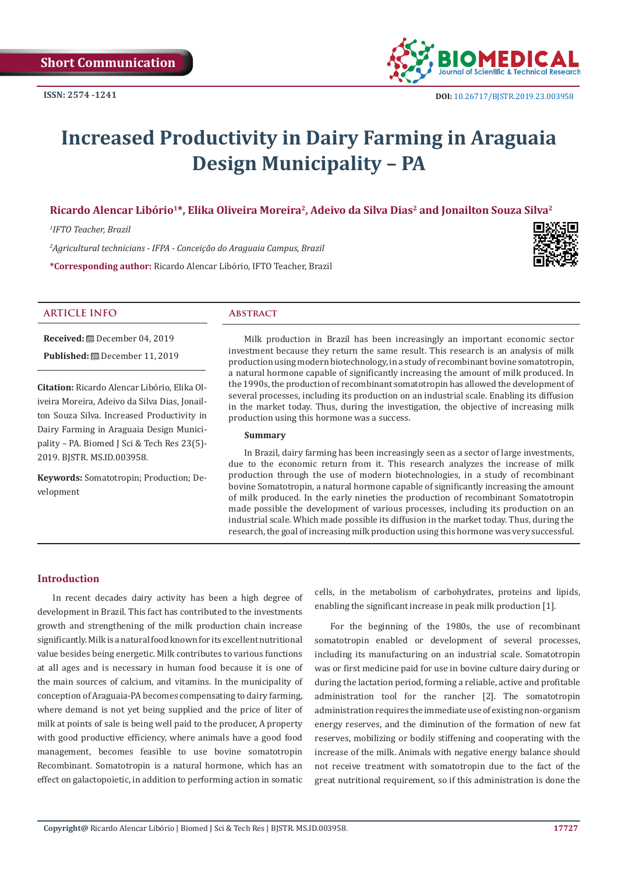

# **Increased Productivity in Dairy Farming in Araguaia Design Municipality – PA**

# Ricardo Alencar Libório<sup>1\*</sup>, Elika Oliveira Moreira<sup>2</sup>, Adeivo da Silva Dias<sup>2</sup> and Jonailton Souza Silva<sup>2</sup>

*1 IFTO Teacher, Brazil*

*2 Agricultural technicians - IFPA - Conceição do Araguaia Campus, Brazil*

**\*Corresponding author:** Ricardo Alencar Libório, IFTO Teacher, Brazil



# **ARTICLE INFO Abstract**

**Received:** December 04, 2019 **Published:** December 11, 2019

**Citation:** Ricardo Alencar Libório, Elika Oliveira Moreira, Adeivo da Silva Dias, Jonailton Souza Silva. Increased Productivity in Dairy Farming in Araguaia Design Municipality – PA. Biomed J Sci & Tech Res 23(5)- 2019. BJSTR. MS.ID.003958.

**Keywords:** Somatotropin; Production; Development

Milk production in Brazil has been increasingly an important economic sector investment because they return the same result. This research is an analysis of milk production using modern biotechnology, in a study of recombinant bovine somatotropin, a natural hormone capable of significantly increasing the amount of milk produced. In the 1990s, the production of recombinant somatotropin has allowed the development of several processes, including its production on an industrial scale. Enabling its diffusion in the market today. Thus, during the investigation, the objective of increasing milk production using this hormone was a success.

#### **Summary**

In Brazil, dairy farming has been increasingly seen as a sector of large investments, due to the economic return from it. This research analyzes the increase of milk production through the use of modern biotechnologies, in a study of recombinant bovine Somatotropin, a natural hormone capable of significantly increasing the amount of milk produced. In the early nineties the production of recombinant Somatotropin made possible the development of various processes, including its production on an industrial scale. Which made possible its diffusion in the market today. Thus, during the research, the goal of increasing milk production using this hormone was very successful.

# **Introduction**

In recent decades dairy activity has been a high degree of development in Brazil. This fact has contributed to the investments growth and strengthening of the milk production chain increase significantly. Milk is a natural food known for its excellent nutritional value besides being energetic. Milk contributes to various functions at all ages and is necessary in human food because it is one of the main sources of calcium, and vitamins. In the municipality of conception of Araguaia-PA becomes compensating to dairy farming, where demand is not yet being supplied and the price of liter of milk at points of sale is being well paid to the producer, A property with good productive efficiency, where animals have a good food management, becomes feasible to use bovine somatotropin Recombinant. Somatotropin is a natural hormone, which has an effect on galactopoietic, in addition to performing action in somatic

cells, in the metabolism of carbohydrates, proteins and lipids, enabling the significant increase in peak milk production [1].

For the beginning of the 1980s, the use of recombinant somatotropin enabled or development of several processes, including its manufacturing on an industrial scale. Somatotropin was or first medicine paid for use in bovine culture dairy during or during the lactation period, forming a reliable, active and profitable administration tool for the rancher [2]. The somatotropin administration requires the immediate use of existing non-organism energy reserves, and the diminution of the formation of new fat reserves, mobilizing or bodily stiffening and cooperating with the increase of the milk. Animals with negative energy balance should not receive treatment with somatotropin due to the fact of the great nutritional requirement, so if this administration is done the